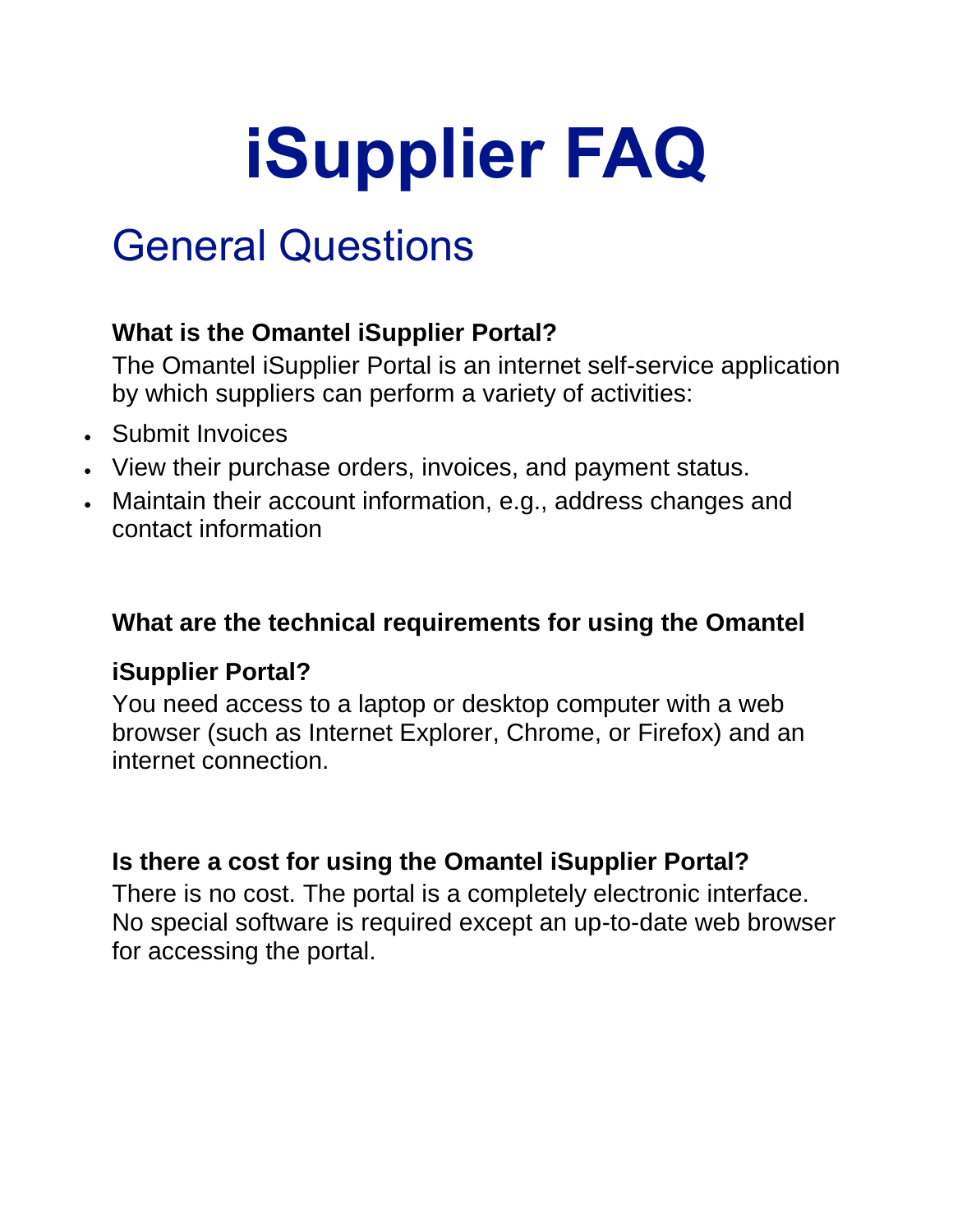# **iSupplier FAQ**

# General Questions

## **What is the Omantel iSupplier Portal?**

The Omantel iSupplier Portal is an internet self-service application by which suppliers can perform a variety of activities:

- Submit Invoices
- View their purchase orders, invoices, and payment status.
- Maintain their account information, e.g., address changes and contact information

#### **What are the technical requirements for using the Omantel**

# **iSupplier Portal?**

You need access to a laptop or desktop computer with a web browser (such as Internet Explorer, Chrome, or Firefox) and an internet connection.

#### **Is there a cost for using the Omantel iSupplier Portal?**

There is no cost. The portal is a completely electronic interface. No special software is required except an up-to-date web browser for accessing the portal.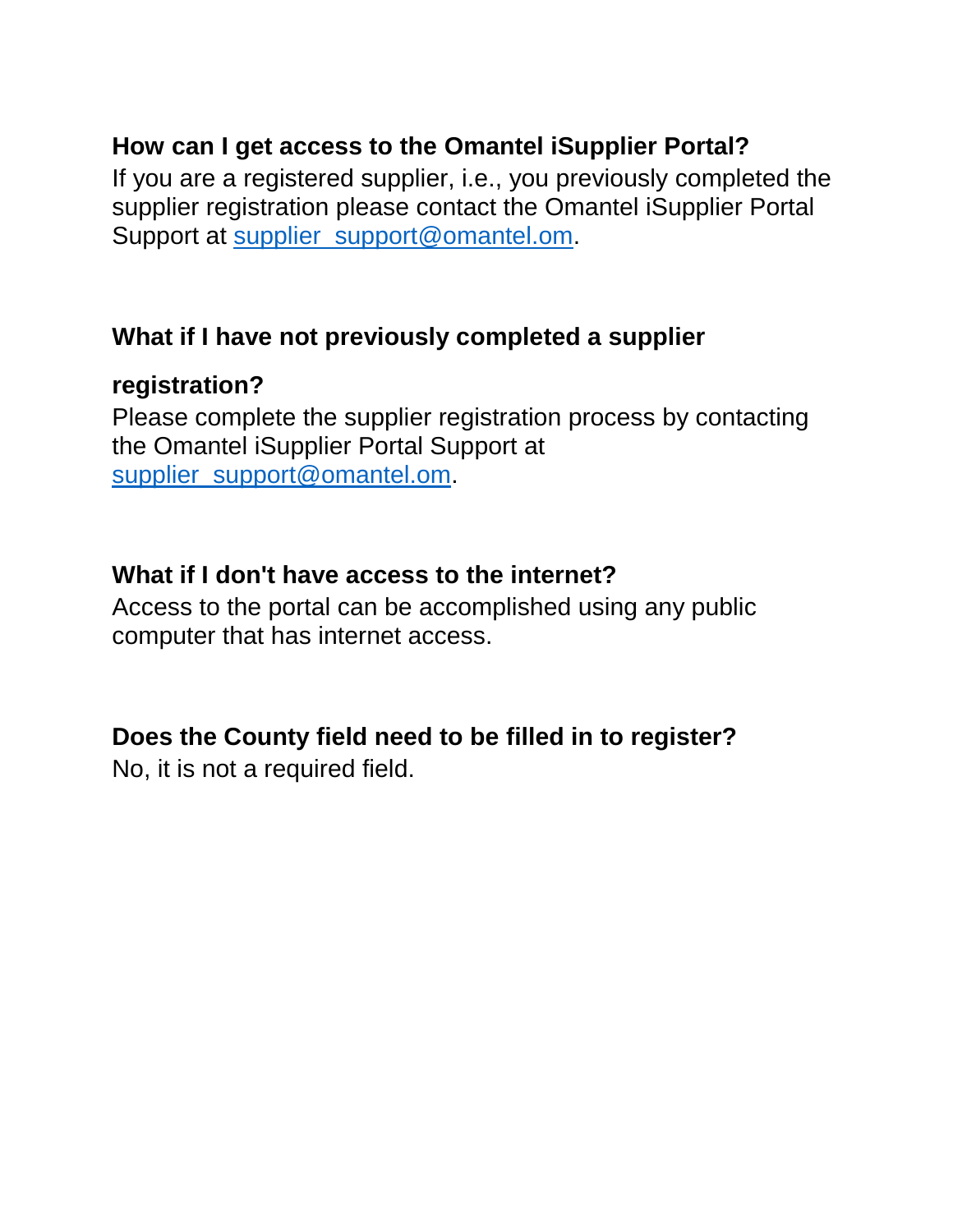#### **How can I get access to the Omantel iSupplier Portal?**

If you are a registered supplier, i.e., you previously completed the supplier registration please contact the Omantel iSupplier Portal Support at [supplier\\_support@omantel.om.](mailto:supplier_support@omantel.om)

#### **What if I have not previously completed a supplier**

#### **registration?**

Please complete the supplier registration process by contacting the Omantel iSupplier Portal Support at [supplier\\_support@omantel.om.](mailto:supplier_support@omantel.om)

#### **What if I don't have access to the internet?**

Access to the portal can be accomplished using any public computer that has internet access.

# **Does the County field need to be filled in to register?**

No, it is not a required field.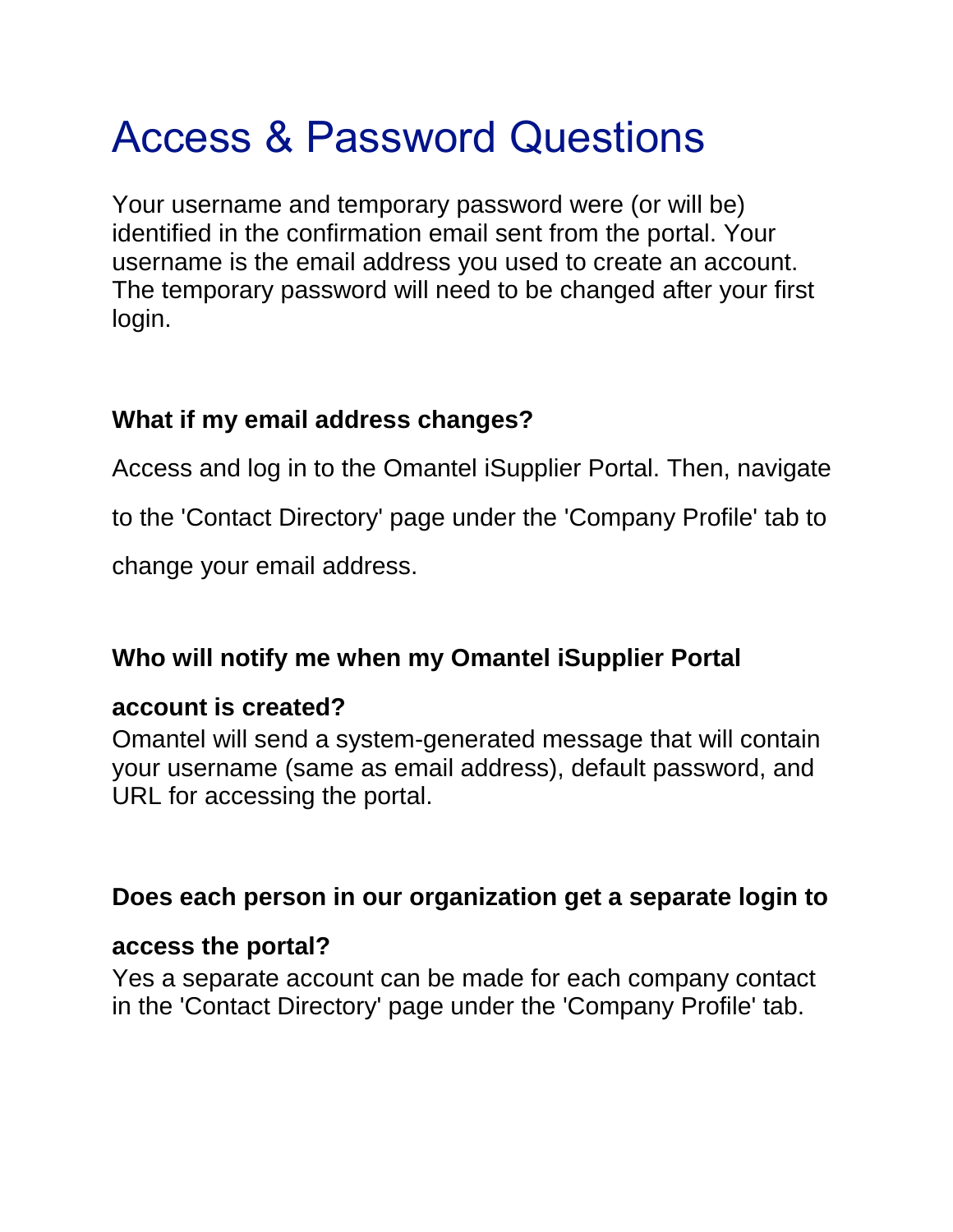# Access & Password Questions

Your username and temporary password were (or will be) identified in the confirmation email sent from the portal. Your username is the email address you used to create an account. The temporary password will need to be changed after your first login.

## **What if my email address changes?**

Access and log in to the Omantel iSupplier Portal. Then, navigate

to the 'Contact Directory' page under the 'Company Profile' tab to

change your email address.

# **Who will notify me when my Omantel iSupplier Portal**

#### **account is created?**

Omantel will send a system-generated message that will contain your username (same as email address), default password, and URL for accessing the portal.

#### **Does each person in our organization get a separate login to**

#### **access the portal?**

Yes a separate account can be made for each company contact in the 'Contact Directory' page under the 'Company Profile' tab.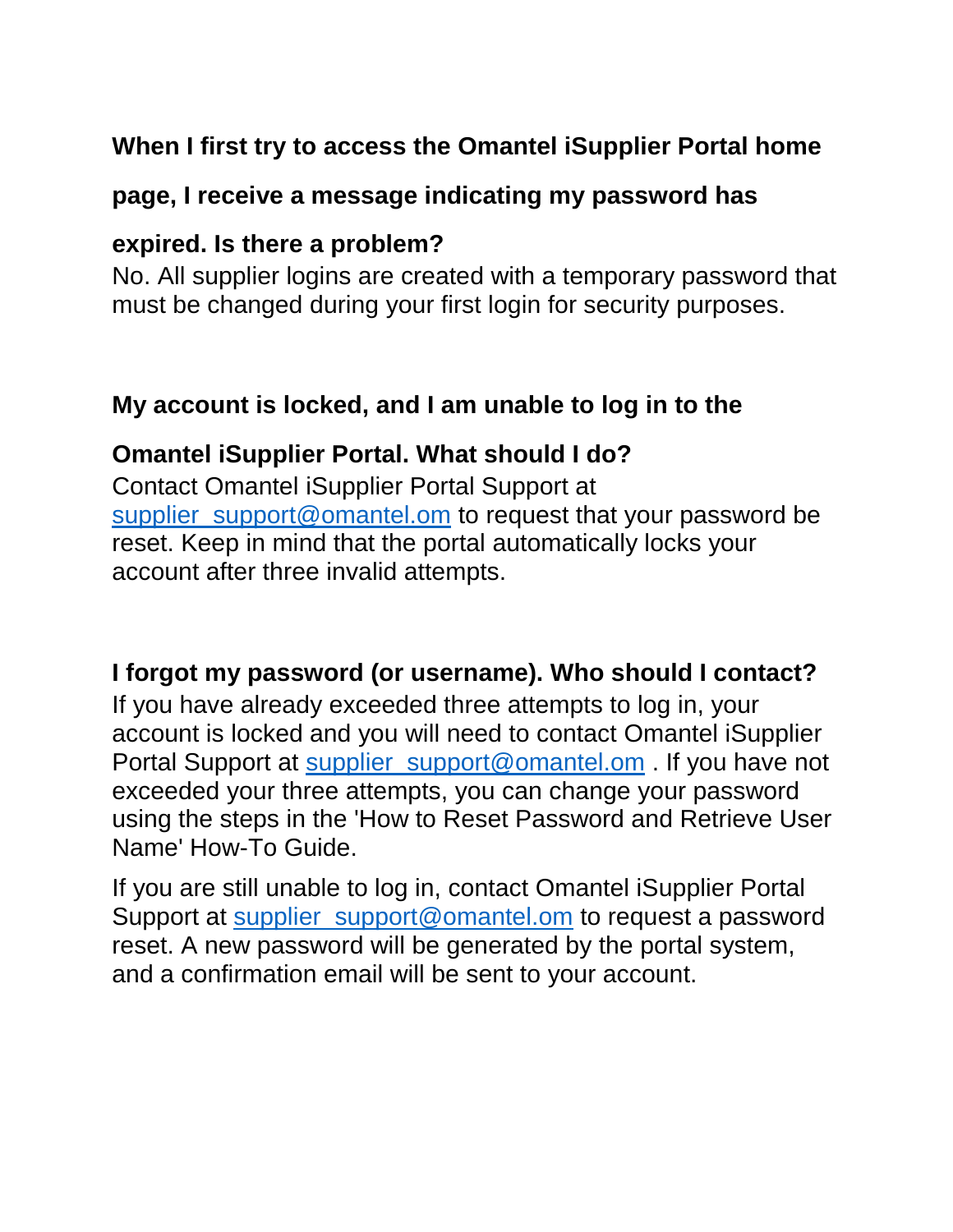#### **When I first try to access the Omantel iSupplier Portal home**

#### **page, I receive a message indicating my password has**

#### **expired. Is there a problem?**

No. All supplier logins are created with a temporary password that must be changed during your first login for security purposes.

#### **My account is locked, and I am unable to log in to the**

#### **Omantel iSupplier Portal. What should I do?**

Contact Omantel iSupplier Portal Support at [supplier\\_support@omantel.om](mailto:supplier_support@omantel.om) to request that your password be reset. Keep in mind that the portal automatically locks your account after three invalid attempts.

#### **I forgot my password (or username). Who should I contact?**

If you have already exceeded three attempts to log in, your account is locked and you will need to contact Omantel iSupplier Portal Support at [supplier\\_support@omantel.om](mailto:supplier_support@omantel.om) . If you have not exceeded your three attempts, you can change your password using the steps in the 'How to Reset Password and Retrieve User Name' How-To Guide.

If you are still unable to log in, contact Omantel iSupplier Portal Support at [supplier\\_support@omantel.om](mailto:supplier_support@omantel.om) to request a password reset. A new password will be generated by the portal system, and a confirmation email will be sent to your account.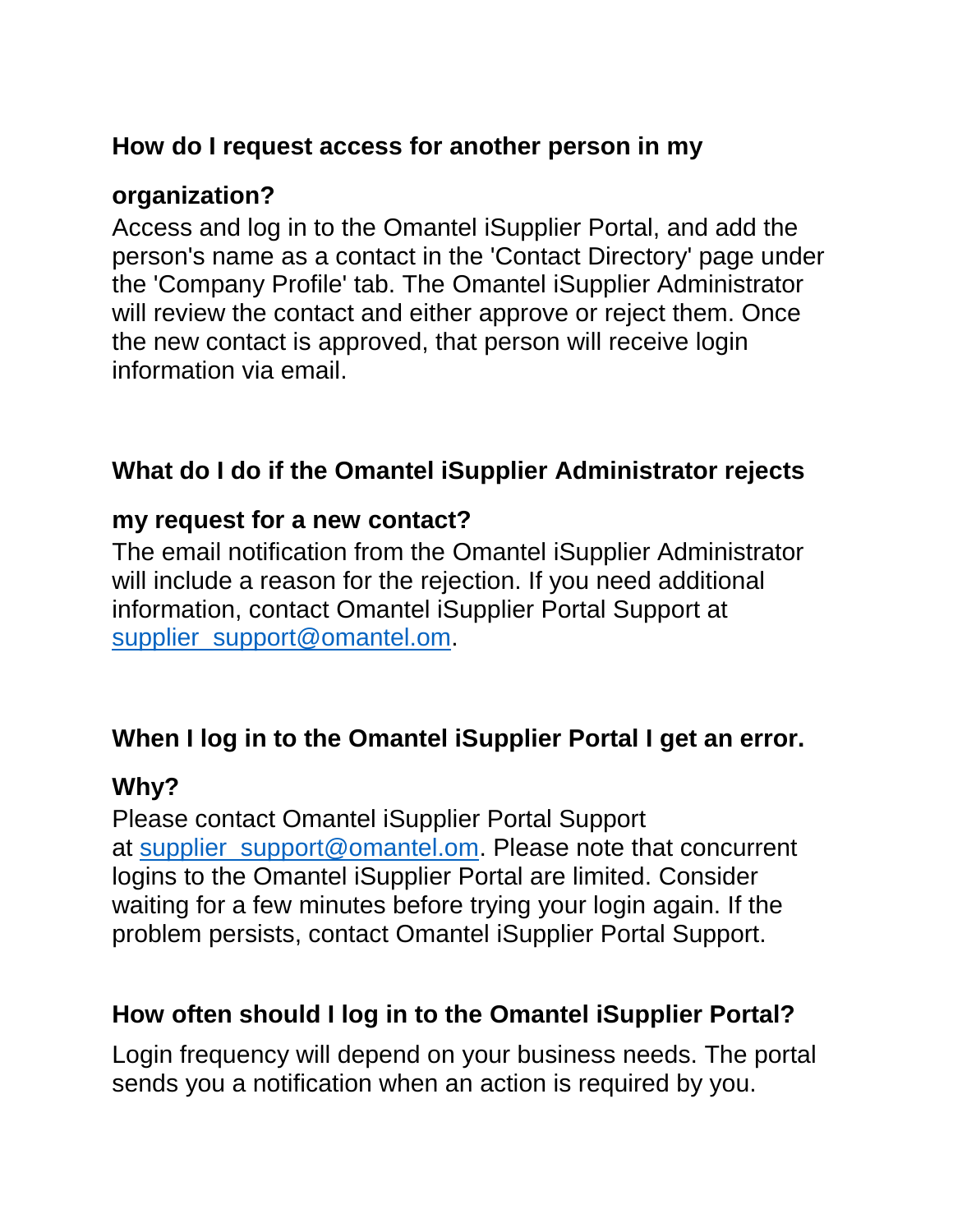## **How do I request access for another person in my**

#### **organization?**

Access and log in to the Omantel iSupplier Portal, and add the person's name as a contact in the 'Contact Directory' page under the 'Company Profile' tab. The Omantel iSupplier Administrator will review the contact and either approve or reject them. Once the new contact is approved, that person will receive login information via email.

# **What do I do if the Omantel iSupplier Administrator rejects**

#### **my request for a new contact?**

The email notification from the Omantel iSupplier Administrator will include a reason for the rejection. If you need additional information, contact Omantel iSupplier Portal Support at [supplier\\_support@omantel.om.](mailto:supplier_support@omantel.om)

# **When I log in to the Omantel iSupplier Portal I get an error.**

# **Why?**

Please contact Omantel iSupplier Portal Support at [supplier\\_support@omantel.om.](mailto:supplier_support@omantel.om) Please note that concurrent logins to the Omantel iSupplier Portal are limited. Consider waiting for a few minutes before trying your login again. If the problem persists, contact Omantel iSupplier Portal Support.

# **How often should I log in to the Omantel iSupplier Portal?**

Login frequency will depend on your business needs. The portal sends you a notification when an action is required by you.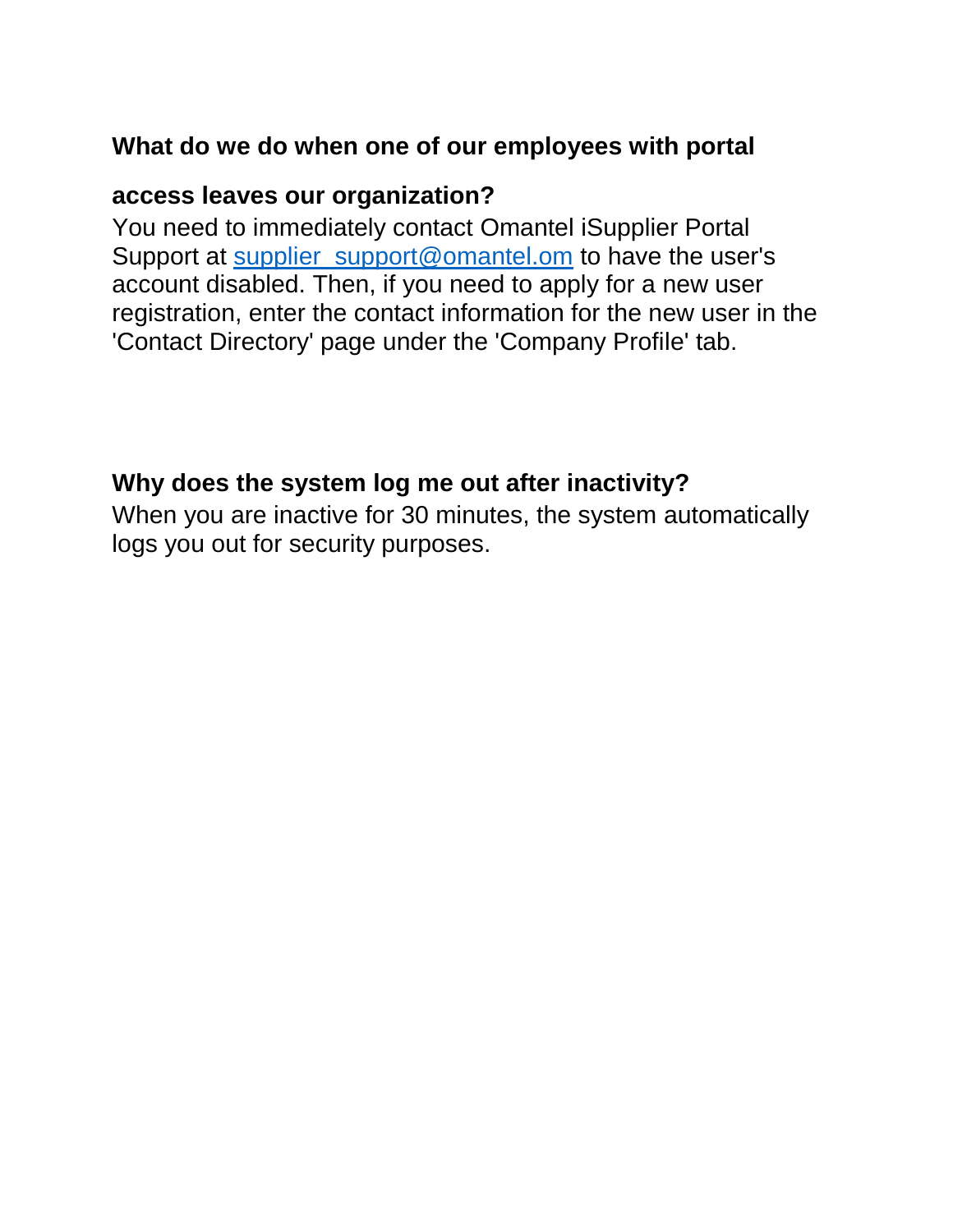#### **What do we do when one of our employees with portal**

#### **access leaves our organization?**

You need to immediately contact Omantel iSupplier Portal Support at supplier support@omantel.om to have the user's account disabled. Then, if you need to apply for a new user registration, enter the contact information for the new user in the 'Contact Directory' page under the 'Company Profile' tab.

#### **Why does the system log me out after inactivity?**

When you are inactive for 30 minutes, the system automatically logs you out for security purposes.